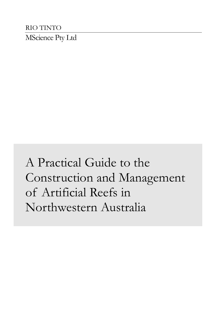RIO TINTO MScience Pty Ltd

# A Practical Guide to the Construction and Management of Artificial Reefs in Northwestern Australia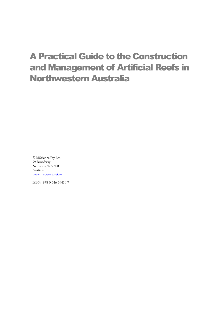# A Practical Guide to the Construction and Management of Artificial Reefs in Northwestern Australia

 MScience Pty Ltd 99 Broadway Nedlands, WA 6009 Australia [www.mscience.net.au](http://www.mscience.net.au/)

ISBN: 978-0-646-59450-7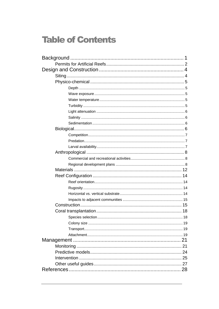# **Table of Contents**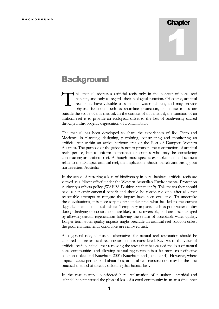# **Chapter** 1

## <span id="page-3-0"></span>**Background**

his manual addresses artificial reefs only in the context of coral reef habitats, and only as regards their biological function. Of course, artificial reefs may have valuable uses in cold water habitats, and may provide physical functions such as shoreline protection, but these topics are outside the scope of this manual. In the context of this manual, the function of an artificial reef is to provide an ecological offset to the loss of biodiversity caused through anthropogenic degradation of a coral habitat. T

The manual has been developed to share the experiences of Rio Tinto and MScience in planning, designing, permitting, constructing and monitoring an artificial reef within an active harbour area of the Port of Dampier, Western Australia. The purpose of the guide is not to promote the construction of artificial reefs per se, but to inform companies or entities who may be considering constructing an artificial reef. Although most specific examples in this document relate to the Dampier artificial reef, the implications should be relevant throughout northwestern Australia.

In the sense of restoring a loss of biodiversity in coral habitats, artificial reefs are viewed as a 'direct offset' under the Western Australian Environmental Protection Authority's offsets policy (WAEPA Position Statement 9). This means they should have a net environmental benefit and should be considered only after all other reasonable attempts to mitigate the impact have been evaluated. To undertake these evaluations, it is necessary to first understand what has led to the current degraded state of the local habitat. Temporary impacts, such as poor water quality during dredging or construction, are likely to be reversible, and are best managed by allowing natural regeneration following the return of acceptable water quality. Longer term water quality impacts might preclude an artificial reef solution unless the poor environmental conditions are removed first.

As a general rule, all feasible alternatives for natural reef restoration should be explored before artificial reef construction is considered. Reviews of the value of artificial reefs conclude that removing the stress that has caused the loss of natural coral communities and allowing natural regeneration is a far more cost effective solution (Jokiel and Naughton 2001; Naughton and Jokiel 2001). However, where impacts cause permanent habitat loss, artificial reef construction may be the best practical method of directly offsetting that habitat loss.

In the case example considered here, reclamation of nearshore intertidal and subtidal habitat caused the physical loss of a coral community in an area (the inner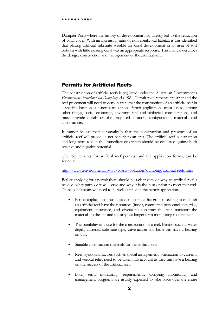Dampier Port) where the history of development had already led to the reduction of coral cover. With an increasing ratio of non-coral:coral habitat, it was identified that placing artificial substrate suitable for coral development in an area of soft bottom with little existing coral was an appropriate response. This manual describes the design, construction and management of the artificial reef.

#### <span id="page-4-0"></span>Permits for Artificial Reefs

The construction of artificial reefs is regulated under the Australian Government's *Environment Protection (Sea Dumping) Act* 1981. Permit requirements are strict and the reef proponent will need to demonstrate that the construction of an artificial reef in a specific location is a necessary action. Permit applications must assess, among other things, social, economic, environmental and biological considerations, and must provide details on the proposed location, configuration, materials and construction.

It cannot be assumed automatically that the construction and presence of an artificial reef will provide a net benefit to an area. The artificial reef construction and long term role in the immediate ecosystem should be evaluated against both positive and negative potential.

The requirements for artificial reef permits, and the application forms, can be found at:

<http://www.environment.gov.au/coasts/pollution/dumping/artificial-reefs.html>

Before applying for a permit there should be a clear view on why an artificial reef is needed, what purpose it will serve and why it is the best option to meet that end. These conclusions will need to be well justified in the permit application.

- Permit applications must also demonstrate that groups seeking to establish an artificial reef have the resources (funds, committed personnel, expertise, equipment, insurance, and divers) to construct the reef, transport the materials to the site and to carry out longer term monitoring requirements.
- The suitability of a site for the construction of a reef. Factors such as water depth, currents, substrate type, wave action and biota can have a bearing on this.
- Suitable construction materials for the artificial reef.
- Reef layout and factors such as spatial arrangement, orientation to currents and vertical relief need to be taken into account as they can have a bearing on the success of the artificial reef.
- Long term monitoring requirements. Ongoing monitoring and management programs are usually expected to take place over the entire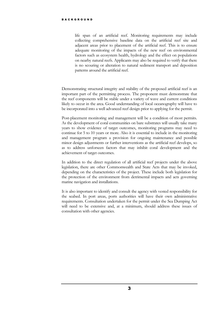life span of an artificial reef. Monitoring requirements may include collecting comprehensive baseline data on the artificial reef site and adjacent areas prior to placement of the artificial reef. This is to ensure adequate monitoring of the impacts of the new reef on environmental factors such as ecosystem health, hydrology and the effect on populations on nearby natural reefs. Applicants may also be required to verify that there is no scouring or alteration to natural sediment transport and deposition patterns around the artificial reef.

Demonstrating structural integrity and stability of the proposed artificial reef is an important part of the permitting process. The proponent must demonstrate that the reef components will be stable under a variety of wave and current conditions likely to occur in the area. Good understanding of local oceanography will have to be incorporated into a well advanced reef design prior to applying for the permit.

Post-placement monitoring and management will be a condition of most permits. As the development of coral communities on bare substrates will usually take many years to show evidence of target outcomes, monitoring programs may need to continue for 5 to 10 years or more. Also it is essential to include in the monitoring and management program a provision for ongoing maintenance and possible minor design adjustments or further interventions as the artificial reef develops, so as to address unforseen factors that may inhibit coral development and the achievement of target outcomes.

In addition to the direct regulation of all artificial reef projects under the above legislation, there are other Commonwealth and State Acts that may be invoked, depending on the characteristics of the project. These include both legislation for the protection of the environment from detrimental impacts and acts governing marine navigation and installations.

It is also important to identify and consult the agency with vested responsibility for the seabed. In port areas, ports authorities will have their own administrative requirements. Consultation undertaken for the permit under the Sea Dumping Act will need to be extensive and, at a minimum, should address these issues of consultation with other agencies.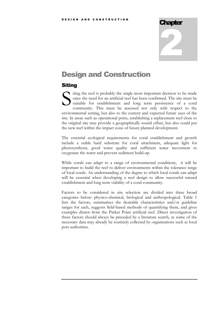#### Chapter

# 2

## <span id="page-6-0"></span>Design and Construction

#### <span id="page-6-1"></span>**Siting**

iting the reef is probably the single most important decision to be made once the need for an artificial reef has been confirmed. The site must be suitable for establishment and long term persistence of a coral community. This must be assessed not only with respect to the environmental setting, but also to the current and expected future uses of the site. In areas such as operational ports, establishing a replacement reef close to the original site may provide a geographically sound offset, but also could put the new reef within the impact zone of future planned development. S

The essential ecological requirements for coral establishment and growth include a stable hard substrate for coral attachment, adequate light for photosynthesis, good water quality and sufficient water movement to oxygenate the water and prevent sediment build-up.

While corals can adapt to a range of environmental conditions, it will be important to build the reef to deliver environments within the tolerance range of local corals. An understanding of the degree to which local corals can adapt will be essential when developing a reef design to allow successful natural establishment and long term viability of a coral community.

Factors to be considered in site selection are divided into three broad categories below: physico-chemical, biological and anthropological. Table 1 lists the factors, summarises the desirable characteristics and/or guideline ranges for each, suggests field-based methods of quantifying them, and gives examples drawn from the Parker Point artificial reef. Direct investigation of these factors should always be preceded by a literature search, as some of the necessary data may already be routinely collected by organisations such as local port authorities.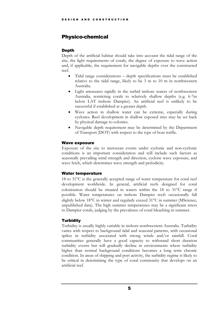#### <span id="page-7-0"></span>Physico-chemical

#### <span id="page-7-1"></span>**Depth**

Depth of the artificial habitat should take into account the tidal range of the site, the light requirements of corals, the degree of exposure to wave action and, if applicable, the requirement for navigable depths over the constructed reef.

- Tidal range considerations depth specifications must be established relative to the tidal range, likely to be 3 m to 10 m in northwestern Australia.
- Light attenuates rapidly in the turbid inshore waters of northwestern Australia, restricting corals to relatively shallow depths (e.g. 6-7m below LAT inshore Dampier). An artificial reef is unlikely to be successful if established at a greater depth.
- Wave action in shallow water can be extreme, especially during cyclones. Reef development in shallow exposed sites may be set back by physical damage to colonies.
- Navigable depth requirement may be determined by the Department of Transport (DOT) with respect to the type of boat traffic.

#### <span id="page-7-2"></span>Wave exposure

Exposure of the site to metocean events under cyclonic and non-cyclonic conditions is an important consideration and will include such factors as seasonally prevailing wind strength and direction, cyclone wave exposure, and wave fetch, which determines wave strength and periodicity.

#### <span id="page-7-3"></span>Water temperature

18 to  $31^{\circ}$ C is the generally accepted range of water temperature for coral reef development worldwide. In general, artificial reefs designed for coral colonisation should be situated in waters within the  $18$  to  $31^{\circ}$ C range if possible. Water temperatures on inshore Dampier reefs occasionally fall slightly below  $18^{\circ}$ C in winter and regularly exceed  $31^{\circ}$ C in summer (MScience, unpublished data). The high summer temperatures may be a significant stress to Dampier corals, judging by the prevalence of coral bleaching in summer.

#### <span id="page-7-4"></span>**Turbidity**

Turbidity is usually highly variable in inshore northwestern Australia. Turbidity varies with respect to background tidal and seasonal patterns, with occasional spikes in turbidity associated with strong winds and/or rainfall. Coral communities generally have a good capacity to withstand short duration turbidity events but will gradually decline in environments where turbidity higher than normal background conditions becomes a long term chronic condition. In areas of shipping and port activity, the turbidity regime is likely to be critical in determining the type of coral community that develops on an artificial reef.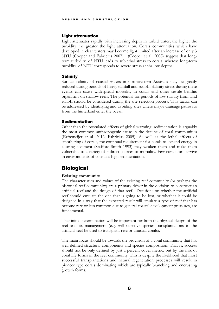#### <span id="page-8-0"></span>Light attenuation

Light attenuates rapidly with increasing depth in turbid water; the higher the turbidity the greater the light attenuation. Corals communities which have developed in clear waters may become light limited after an increase of only 3 NTU (Cooper and Fabricius 2007). (Cooper et al. 2008) suggest that longterm turbidity *>*3 NTU leads to sublethal stress to corals, whereas long-term turbidity *>*5 NTU corresponds to severe stress at shallow depths.

#### <span id="page-8-1"></span>**Salinity**

Surface salinity of coastal waters in northwestern Australia may be greatly reduced during periods of heavy rainfall and runoff. Salinity stress during these events can cause widespread mortality in corals and other sessile benthic organisms on shallow reefs. The potential for periods of low salinity from land runoff should be considered during the site selection process. This factor can be addressed by identifying and avoiding sites where major drainage pathways from the hinterland enter the ocean.

#### <span id="page-8-2"></span>Sedimentation

Other than the postulated effects of global warming, sedimentation is arguably the most common anthropogenic cause in the decline of coral communities (Erftemeijer et al. 2012; Fabricius 2005). As well as the lethal effects of smothering of corals, the continual requirement for corals to expend energy in clearing sediment (Stafford-Smith 1993) may weaken them and make them vulnerable to a variety of indirect sources of mortality. Few corals can survive in environments of constant high sedimentation.

#### <span id="page-8-3"></span>**Biological**

#### **Existing community**

The characteristics and values of the existing reef community (or perhaps the historical reef community) are a primary driver in the decision to construct an artificial reef and the design of that reef. Decisions on whether the artificial reef should emulate the one that is going to be lost, or whether it could be designed in a way that the expected result will emulate a type of reef that has become rare or less common due to general coastal development pressures, are fundamental.

That initial determination will be important for both the physical design of the reef and its management (e.g. will selective species transplantations to the artificial reef be used to transplant rare or unusual corals).

The main focus should be towards the provision of a coral community that has well defined structural components and species composition. That is, success should not be only defined by just a percent cover metric, but by the mix of coral life forms in the reef community. This is despite the likelihood that most successful transplantations and natural regeneration processes will result in pioneer type corals dominating which are typically branching and encrusting growth forms.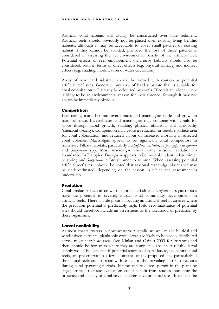Artificial coral habitats will usually be constructed over bare sediment. Artificial reefs should obviously not be placed over existing living benthic habitats, although it may be acceptable to cover small patches of existing habitat if they cannot be avoided, provided the loss of those patches is considered in assessing the net environmental benefit of the artificial reef. Potential effects of reef emplacement on nearby habitats should also be considered, both in terms of direct effects (e.g. physical damage) and indirect effects (e.g. shading, modification of water circulation).

Areas of bare hard substrate should be viewed with caution as potential artificial reef sites. Generally, any area of hard substrate that is suitable for coral colonisation will already be colonised by corals. If corals are absent there is likely to be an environmental reason for their absence, although it may not always be immediately obvious.

#### <span id="page-9-0"></span>Competition

Like corals, many benthic invertebrates and macroalgae settle and grow on hard substrate. Invertebrates and macroalgae may compete with corals for space through rapid growth, shading, physical abrasion, and allelopathy (chemical toxicity). Competition may cause a reduction in suitable surface area for coral colonisation, and reduced vigour or increased mortality in affected coral colonies. Macroalgae appear to be significant coral competitors in nearshore Pilbara habitats, particularly *Dictyopteris australis, Asparagopsis taxiformis*  and *Sargassum* spp. Most macroalgae show some seasonal variation in abundance. In Dampier, *Dictyopteris* appears to be most abundant in late winter to spring and *Sargassum* in late summer to autumn. When assessing potential artificial reef sites it should be noted that seasonal macroalgal abundance may be underestimated, depending on the season in which the assessment is undertaken.

#### <span id="page-9-1"></span>Predation

Coral predators such as crown of thorns starfish and *Drupella* spp. gastropods have the potential to severely impact coral community development on artificial reefs. There is little point is locating an artificial reef in an area where the predation potential is predictably high. Field reconnaissance of potential sites should therefore include an assessment of the likelihood of predation by these organisms.

#### <span id="page-9-2"></span>Larval availability

As most coastal waters in northwestern Australia are well mixed by tidal and wind-driven currents, planktonic coral larvae are likely to be widely distributed across most nearshore areas (see Kinlan and Gaines 2003 for instance) and there should be few areas where they are completely absent. A reliable larval supply would be expected if potential sources of coral larvae, i.e. natural coral reefs, are present within a few kilometres of the proposed site, particularly if the natural reefs are upstream with respect to the prevailing current directions during coral spawning periods. If time and resources permit in the planning stage, artificial reef site evaluations could benefit from studies examining the presence and density of coral larvae at alternative potential sites. It can also be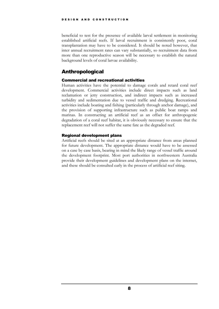beneficial to test for the presence of available larval settlement in monitoring established artificial reefs. If larval recruitment is consistently poor, coral transplantation may have to be considered. It should be noted however, that inter annual recruitment rates can vary substantially, so recruitment data from more than one reproductive season will be necessary to establish the natural background levels of coral larvae availability.

#### <span id="page-10-0"></span>Anthropological

#### <span id="page-10-1"></span>Commercial and recreational activities

Human activities have the potential to damage corals and retard coral reef development. Commercial activities include direct impacts such as land reclamation or jetty construction, and indirect impacts such as increased turbidity and sedimentation due to vessel traffic and dredging. Recreational activities include boating and fishing (particularly through anchor damage), and the provision of supporting infrastructure such as public boat ramps and marinas. In constructing an artificial reef as an offset for anthropogenic degradation of a coral reef habitat, it is obviously necessary to ensure that the replacement reef will not suffer the same fate as the degraded reef.

#### <span id="page-10-2"></span>Regional development plans

Artificial reefs should be sited at an appropriate distance from areas planned for future development. The appropriate distance would have to be assessed on a case by case basis, bearing in mind the likely range of vessel traffic around the development footprint. Most port authorities in northwestern Australia provide their development guidelines and development plans on the internet, and these should be consulted early in the process of artificial reef siting.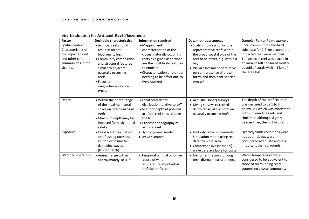| <b>Factor</b>                                                                                                     | <b>Desirable characteristics</b>                                                                                                                                                                                                 | <b>Information required</b>                                                                                                                                                                                                          | Data methods/sources                                                                                                                                                                                                                               | Dampier Parker Point example                                                                                                                                                                                             |
|-------------------------------------------------------------------------------------------------------------------|----------------------------------------------------------------------------------------------------------------------------------------------------------------------------------------------------------------------------------|--------------------------------------------------------------------------------------------------------------------------------------------------------------------------------------------------------------------------------------|----------------------------------------------------------------------------------------------------------------------------------------------------------------------------------------------------------------------------------------------------|--------------------------------------------------------------------------------------------------------------------------------------------------------------------------------------------------------------------------|
| Spatial context:<br>Characteristics of<br>the impacted reef<br>and other coral<br>communities in the<br>vicinity. | • Artificial reef should<br>result in no net<br>biodiversity loss<br>• Community composition<br>and structural features<br>similar to adjacent<br>naturally occurring<br>reefs.<br>• Focus on<br>rare/vulnerable coral<br>types. | • Mapping and<br>characterisation of the<br>closest naturally occurring<br>reefs as a guide as to what<br>are the most likely features<br>to emulate<br>• Characterisation of the reef<br>needing to be offset due to<br>development | • Scale of surveys to include<br>representative reefs within<br>the broad coastal type of the<br>reef to be offset, e.g. within a<br>bay<br>• Visual assessment of relative<br>percent presence of growth<br>forms and dominant species<br>present | Coral communities and hard<br>substrate for 2-3 km around the<br>impacted reef were mapped.<br>The artificial reef was placed in<br>an area of soft sediment mostly<br>devoid of corals within 1 km of<br>the area lost. |
| Depth                                                                                                             | • Within the depth range<br>of the maximum coral<br>cover on nearby natural<br>reefs<br>• Minimum depth may be<br>imposed for navigational<br>safety                                                                             | • Local coral depth<br>distribution relative to LAT<br>• Seafloor depth at potential<br>artificial reef sites relative<br>to LAT<br>• Proposed topography of<br>artificial reef                                                      | • Acoustic (sonar) surveys<br>• Diving surveys to record<br>depth range of live coral on<br>naturally occurring reefs                                                                                                                              | The depth of the artificial reef<br>was designed to be 1 to 3 m<br>below LAT which was consistent<br>with surrounding reefs and<br>similar to, although slightly<br>deeper than, the lost habitat.                       |
| Exposure                                                                                                          | • Good water circulation<br>and flushing rates but<br>limited exposure to<br>damaging waves<br>(limited fetch)                                                                                                                   | · Hydrodynamic model<br>• Wave climate*                                                                                                                                                                                              | • Hydrodynamic instruments,<br>Simulation model using real<br>data from the area<br>• Comprehensive (seasonal)<br>wave data available for ports                                                                                                    | Hydrodynamic conditions were<br>not optimal, but were<br>considered adequate and less<br>important than surrounds.                                                                                                       |
| Water temperature                                                                                                 | • Annual range within<br>approximately 18-31°C                                                                                                                                                                                   | • Temporal (annual or longer)<br>record of water<br>temperature at potential<br>artificial reef sites*                                                                                                                               | • Instrument records of long<br>term diurnal measurements                                                                                                                                                                                          | Water temperatures were<br>considered to be equivalent to<br>those of surrounding reefs<br>supporting a coral community.                                                                                                 |

#### **Site Evaluation for Artificial Reef Placements**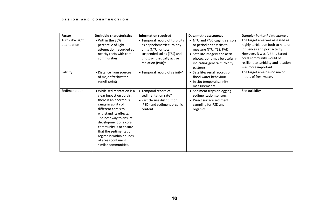| Factor                         | <b>Desirable characteristics</b>                                                                                                                                                                                                                                                                                                        | <b>Information required</b>                                                                                                                                         | Data methods/sources                                                                                                                                                                                | Dampier Parker Point example                                                                                                                                                                                                       |
|--------------------------------|-----------------------------------------------------------------------------------------------------------------------------------------------------------------------------------------------------------------------------------------------------------------------------------------------------------------------------------------|---------------------------------------------------------------------------------------------------------------------------------------------------------------------|-----------------------------------------------------------------------------------------------------------------------------------------------------------------------------------------------------|------------------------------------------------------------------------------------------------------------------------------------------------------------------------------------------------------------------------------------|
| Turbidity/Light<br>attenuation | • Within the 80%<br>percentile of light<br>attenuation recorded at<br>nearby reefs with coral<br>communities                                                                                                                                                                                                                            | • Temporal record of turbidity<br>as nephelometric turbidity<br>units (NTU) or total<br>suspended solids (TSS) and<br>photosynthetically active<br>radiation (PAR)* | • NTU and PAR logging sensors,<br>or periodic site visits to<br>measure NTU, TSS, PAR<br>• Satellite imagery and aerial<br>photographs may be useful in<br>indicating general turbidity<br>patterns | The target area was assessed as<br>highly turbid due both to natural<br>influences and port activity.<br>However, it was felt the target<br>coral community would be<br>resilient to turbidity and location<br>was more important. |
| Salinity                       | · Distance from sources<br>of major freshwater<br>runoff points                                                                                                                                                                                                                                                                         | • Temporal record of salinity*                                                                                                                                      | • Satellite/aerial records of<br>flood water behaviour<br>• In situ temporal salinity<br>measurements                                                                                               | The target area has no major<br>inputs of freshwater.                                                                                                                                                                              |
| Sedimentation                  | • While sedimentation is a<br>clear impact on corals,<br>there is an enormous<br>range in ability of<br>different corals to<br>withstand its effects.<br>The best way to ensure<br>development of a coral<br>community is to ensure<br>that the sedimentation<br>regime is within bounds<br>of areas containing<br>similar communities. | • Temporal record of<br>sedimentation rate*<br>• Particle size distribution<br>(PSD) and sediment organic<br>content                                                | • Sediment traps or logging<br>sedimentation sensors<br>• Direct surface sediment<br>sampling for PSD and<br>organics                                                                               | See turbidity                                                                                                                                                                                                                      |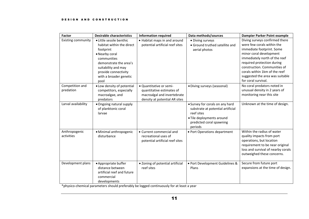| Factor                       | <b>Desirable characteristics</b>                                                                                                                                                                               | <b>Information required</b>                                                                                          | Data methods/sources                                                                                                                                   | <b>Dampier Parker Point example</b>                                                                                                                                                                                                                                                                            |
|------------------------------|----------------------------------------------------------------------------------------------------------------------------------------------------------------------------------------------------------------|----------------------------------------------------------------------------------------------------------------------|--------------------------------------------------------------------------------------------------------------------------------------------------------|----------------------------------------------------------------------------------------------------------------------------------------------------------------------------------------------------------------------------------------------------------------------------------------------------------------|
| <b>Existing community</b>    | · Little sessile benthic<br>habitat within the direct<br>footprint<br>• Nearby coral<br>communities<br>demonstrate the area's<br>suitability and may<br>provide connectivity<br>with a broader genetic<br>pool | • Habitat maps in and around<br>potential artificial reef sites                                                      | • Diving surveys<br>• Ground truthed satellite and<br>aerial photos                                                                                    | Diving surveys confirmed there<br>were few corals within the<br>immediate footprint. Some<br>minor coral development<br>immediately north of the reef<br>required protection during<br>construction. Communities of<br>corals within 1km of the reef<br>suggested the area was suitable<br>for coral survival. |
| Competition and<br>predation | . Low density of potential<br>competitors, especially<br>macroalgae, and<br>predators                                                                                                                          | · Quantitative or semi-<br>quantitative estimates of<br>macroalgal and invertebrate<br>density at potential AR sites | • Diving surveys (seasonal)                                                                                                                            | No coral predators noted in<br>unusual density in 2 years of<br>monitoring near this site                                                                                                                                                                                                                      |
| Larval availability          | • Ongoing natural supply<br>of planktonic coral<br>larvae                                                                                                                                                      |                                                                                                                      | • Survey for corals on any hard<br>substrate at potential artificial<br>reef sites<br>· Tile deployments around<br>predicted coral spawning<br>periods | Unknown at the time of design.                                                                                                                                                                                                                                                                                 |
| Anthropogenic<br>activities  | · Minimal anthropogenic<br>disturbance                                                                                                                                                                         | • Current commercial and<br>recreational uses of<br>potential artificial reef sites                                  | • Port Operations department                                                                                                                           | Within the radius of water<br>quality impacts from port<br>operations, but location<br>requirement to be near original<br>loss and survival of nearby corals<br>outweighed these concerns.                                                                                                                     |
| Development plans            | • Appropriate buffer<br>distance between<br>artificial reef and future<br>commercial<br>developments                                                                                                           | • Zoning of potential artificial<br>reef sites                                                                       | · Port Development Guidelines &<br>Plans                                                                                                               | Secure from future port<br>expansions at the time of design.                                                                                                                                                                                                                                                   |

\*physico-chemical parameters should preferably be logged continuously for at least a year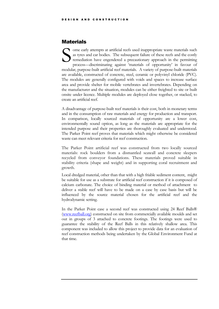#### <span id="page-14-0"></span>**Materials**

ome early attempts at artificial reefs used inappropriate waste materials such as tyres and car bodies. The subsequent failure of these reefs and the costly remediation have engendered a precautionary approach in the permitting process—discriminating against 'materials of opportunity' in favour of modular, purpose-built artificial reef materials. A variety of purpose-built materials are available, constructed of concrete, steel, ceramic or polyvinyl chloride (PVC). The modules are generally configured with voids and spaces to increase surface area and provide shelter for mobile vertebrates and invertebrates. Depending on the manufacturer and the situation, modules can be either freighted to site or built onsite under licence. Multiple modules are deployed close together, or stacked, to create an artificial reef. S

A disadvantage of purpose-built reef materials is their cost, both in monetary terms and in the consumption of raw materials and energy for production and transport. In comparison, locally sourced materials of opportunity are a lower cost, environmentally sound option, as long as the materials are appropriate for the intended purpose and their properties are thoroughly evaluated and understood. The Parker Point reef proves that materials which might otherwise be considered waste can meet relevant criteria for reef construction.

The Parker Point artificial reef was constructed from two locally sourced materials: rock boulders from a dismantled seawall and concrete sleepers recycled from conveyor foundations. These materials proved suitable in stability criteria (shape and weight) and in supporting coral recruitment and growth.

Local dredged material, other than that with a high friable sediment content, might be suitable for use as a substrate for artificial reef construction if it is composed of calcium carbonate. The choice of binding material or method of attachment to deliver a stable reef will have to be made on a case by case basis but will be influenced by the source material chosen for the artificial reef and the hydrodynamic setting.

In the Parker Point case a second reef was constructed using 24 Reef Balls® [\(www.reefball.org\)](http://www.reefball.org/) constructed on site from commercially available moulds and set out in groups of 3 attached to concrete footings. The footings were used to guarantee the stability of the Reef Balls in this relatively shallow area. This component was included to allow this project to provide data for an evaluation of reef construction methods being undertaken by the Global Environment Fund at that time.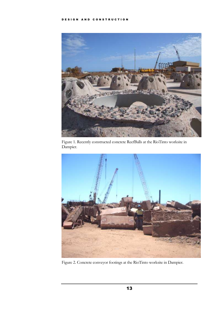

Figure 1. Recently constructed concrete ReefBalls at the RioTinto worksite in Dampier.



Figure 2. Concrete conveyor footings at the RioTinto worksite in Dampier.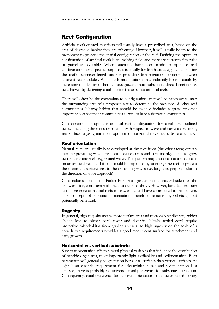#### <span id="page-16-0"></span>Reef Configuration

Artificial reefs created as offsets will usually have a prescribed area, based on the area of degraded habitat they are offsetting. However, it will usually be up to the proponent to propose the spatial configuration of the reef. Defining the optimum configuration of artificial reefs is an evolving field, and there are currently few rules or guidelines available. Where attempts have been made to optimise reef configuration for a specific purpose, it is usually for fish habitat, e.g. by maximising the reef's perimeter length and/or providing fish migration corridors between adjacent reef modules. While such modifications may indirectly benefit corals by increasing the density of herbivorous grazers, more substantial direct benefits may be achieved by designing coral specific features into artificial reefs.

There will often be site constraints to configuration, so it will be necessary to map the surrounding area of a proposed site to determine the presence of other reef communities. Nearby habitat that should be avoided includes seagrass or other important soft sediment communities as well as hard substrate communities.

Considerations to optimise artificial reef configuration for corals are outlined below, including the reef's orientation with respect to wave and current directions, reef surface rugosity, and the proportion of horizontal to vertical substrate surface.

#### <span id="page-16-1"></span>Reef orientation

Natural reefs are usually best developed at the reef front (the edge facing directly into the prevailing wave direction) because corals and coralline algae tend to grow best in clear and well oxygenated water. This pattern may also occur at a small scale on an artificial reef, and if so it could be exploited by orienting the reef to present the maximum surface area to the oncoming waves (i.e. long axis perpendicular to the direction of wave approach).

Coral colonisation on the Parker Point was greater on the seaward side than the landward side, consistent with the idea outlined above. However, local factors, such as the presence of natural reefs to seaward, could have contributed to this pattern. The concept of optimum orientation therefore remains hypothetical, but potentially beneficial.

#### <span id="page-16-2"></span>**Rugosity**

In general, high rugosity means more surface area and microhabitat diversity, which should lead to higher coral cover and diversity. Newly settled coral require protective microhabitat from grazing animals, so high rugosity on the scale of a coral larvae requirements provides a good recruitment surface for attachment and early growth.

#### <span id="page-16-3"></span>Horizontal vs. vertical substrate

Substrate orientation affects several physical variables that influence the distribution of benthic organisms, most importantly light availability and sedimentation. Both parameters will generally be greater on horizontal surfaces than vertical surfaces. As light is an essential requirement for scleractinian corals and sedimentation is a stressor, there is probably no universal coral preference for substrate orientation. Consequently, coral preference for substrate orientation could be expected to vary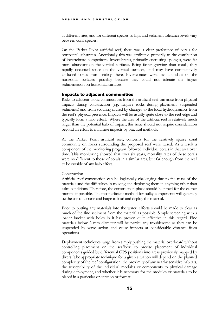at different sites, and for different species as light and sediment tolerance levels vary between coral species.

On the Parker Point artificial reef, there was a clear preference of corals for horizontal substrates. Anecdotally this was attributed primarily to the distribution of invertebrate competitors. Invertebrates, primarily encrusting sponges, were far more abundant on the vertical surfaces. Being faster growing than corals, they rapidly occupied space on the vertical surfaces, and may have competitively excluded corals from settling there. Invertebrates were less abundant on the horizontal surfaces, possibly because they could not tolerate the higher sedimentation on horizontal surfaces.

#### <span id="page-17-0"></span>Impacts to adjacent communities

Risks to adjacent biotic communities from the artificial reef can arise from physical impacts during construction (e.g. fugitive rocks during placement. suspended sediments) and from scouring caused by changes to the local hydrodynamics from the reef's physical presence. Impacts will be usually quite close to the reef edge and typically form a halo effect. Where the area of the artificial reef is relatively much larger than the potential halo of impact, this issue should not require consideration beyond an effort to minimise impacts by practical methods.

At the Parker Point artificial reef, concerns for the relatively sparse coral community on rocks surrounding the proposed reef were raised. As a result a component of the monitoring program followed individual corals in that area over time. This monitoring showed that over six years, mortality rates of these corals were no different to those of corals in a similar area, but far enough from the reef to be outside of any halo effect.

#### <span id="page-17-1"></span>**Construction**

Artificial reef construction can be logistically challenging due to the mass of the materials and the difficulties in moving and deploying them in anything other than calm conditions. Therefore, the construction phase should be timed for the calmer months if possible. The most efficient method for bulky components will generally be the use of a crane and barge to load and deploy the material.

Prior to putting any materials into the water, efforts should be made to clear as much of the fine sediment from the material as possible. Simple screening with a loader bucket with holes in it has proven quite effective in this regard. Fine materials below 2 mm diameter will be particularly troublesome as they can be suspended by wave action and cause impacts at considerable distance from operations.

Deployment techniques range from simply pushing the material overboard without controlling placement on the seafloor, to precise placement of individual components guided by differential GPS positions into areas previously mapped by divers. The appropriate technique for a given situation will depend on the planned complexity of the reef configuration, the proximity of any nearby sensitive habitats, the susceptibility of the individual modules or components to physical damage during deployment, and whether it is necessary for the modules or materials to be placed in a particular orientation or format.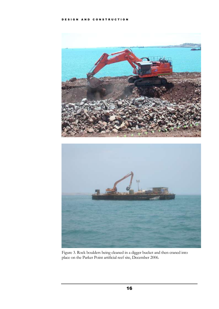

Figure 3. Rock boulders being cleaned in a digger bucket and then craned into place on the Parker Point artificial reef site, December 2006.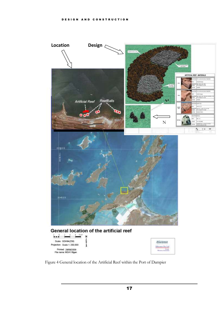

Figure 4 General location of the Artificial Reef within the Port of Dampier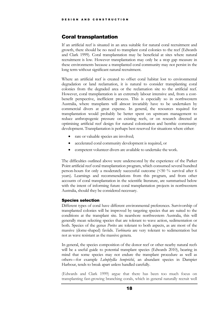#### <span id="page-20-0"></span>Coral transplantation

If an artificial reef is situated in an area suitable for natural coral recruitment and growth, there should be no need to transplant coral colonies to the reef (Edwards and Clark 1999). Coral transplantation may be beneficial at sites where natural recruitment is low. However transplantation may only be a stop gap measure in these environments because a transplanted coral community may not persist in the long term without significant natural recruitment.

Where an artificial reef is created to offset coral habitat lost to environmental degradation or land reclamation, it is natural to consider transplanting coral colonies from the degraded area or the reclamation site to the artificial reef. However, coral transplantation is an extremely labour intensive and, from a costbenefit perspective, inefficient process. This is especially so in northwestern Australia, where transplants will almost invariably have to be undertaken by commercial divers at great expense. In general, the resources required for transplantation would probably be better spent on upstream management to reduce anthropogenic pressure on existing reefs, or on research directed at optimising artificial reef design for natural colonisation and benthic community development. Transplantation is perhaps best reserved for situations where either:

- rare or valuable species are involved;
- accelerated coral community development is required, or
- competent volunteer divers are available to undertake the work.

The difficulties outlined above were underscored by the experience of the Parker Point artificial reef coral transplantation program, which consumed several hundred person-hours for only a moderately successful outcome (<50 % survival after 6 years). Learnings and recommendations from this program, and from other accounts of coral transplantation in the scientific literature, are summarised below with the intent of informing future coral transplantation projects in northwestern Australia, should they be considered necessary.

#### <span id="page-20-1"></span>Species selection

Different types of coral have different environmental preferences. Survivorship of transplanted colonies will be improved by targeting species that are suited to the conditions at the transplant site. In nearshore northwestern Australia, this will generally mean selecting species that are tolerant to wave action, sedimentation or both. Species of the genus *Porites* are tolerant to both aspects, as are most of the massive (dome-shaped) faviids. *Turbinaria* are very tolerant to sedimentation but not as wave resistant as the massive genera.

In general, the species composition of the donor reef or other nearby natural reefs will be a useful guide to potential transplant species (Edwards 2010), bearing in mind that some species may not endure the transplant procedure as well as others—for example *Lobophyllia hemprichii*, an abundant species in Dampier Harbour, tends to break apart unless handled carefully.

(Edwards and Clark 1999) argue that there has been too much focus on transplanting fast-growing branching corals, which in general naturally recruit well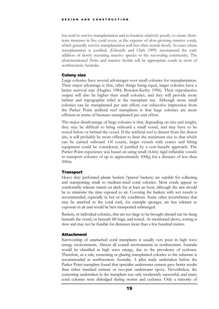but tend to survive transplantation and re-location relatively poorly, to create shortterm increases in live coral cover, at the expense of slow-growing massive corals, which generally survive transplantation well but often recruit slowly. In cases where transplantation is justified, (Edwards and Clark 1999) recommend the early addition of slowly recruiting massive species to the recovering community. The aforementioned *Porites* and massive faviids will be appropriate corals in most of northwestern Australia.

#### <span id="page-21-0"></span>Colony size

Large colonies have several advantages over small colonies for transplantation. Their major advantage is that, other things being equal, larger colonies have a better survival rate (Hughes 1984; Bowden-Kerby 1996). Their reproductive output will also be higher than small colonies, and they will provide more habitat and topographic relief at the transplant site. Although more small colonies can be transplanted per unit effort, our subjective impression from the Parker Point artificial reef transplants is that large colonies are more efficient in terms of biomass transplanted per unit effort.

The major disadvantage of large colonies is that, depending on size and weight, they may be difficult to bring onboard a small vessel, and may have to be towed below or behind the vessel. If the artificial reef is distant from the donor site, it will probably be more efficient to limit the maximum size to that which can be carried onboard. Of course, larger vessels with cranes and lifting equipment could be considered, if justified by a cost-benefit approach. The Parker Point experience was based on using small (4.6m) rigid inflatable vessels to transport colonies of up to approximately 100kg for a distance of less than 500m.

#### <span id="page-21-1"></span>**Transport**

Heavy duty perforated plastic baskets ('prawn' baskets) are suitable for collecting and transporting small to medium-sized coral colonies. Most corals appear to comfortably tolerate transit on deck for at least an hour, although the aim should be to minimise the time exposed to air. Covering the baskets with wet towels is recommended, especially in hot or dry conditions. Some other invertebrates that may be attached to the coral rock, for example sponges, are less tolerant to exposure in air and would be best transported submerged.

Baskets, or individual colonies, that are too large to be brought aboard can be slung beneath the vessel, or beneath lift bags, and towed. As mentioned above, towing is slow and may not be feasible for distances more than a few hundred metres.

#### <span id="page-21-2"></span>**Attachment**

Survivorship of unattached coral transplants is usually very poor in high wave energy environments. Almost all coastal environments in northwestern Australia would be classified as high wave energy, due to the prevalence of cyclones. Therefore, as a rule, cementing or glueing transplanted colonies to the substrate is recommended in northwestern Australia. A pilot study undertaken before the Parker Point transplant found that specialist underwater cement gave better results than either standard cement or two-part underwater epoxy. Nevertheless, the cementing undertaken in the transplant was only moderately successful, and many coral colonies were dislodged during storms and cyclones. Only a minority of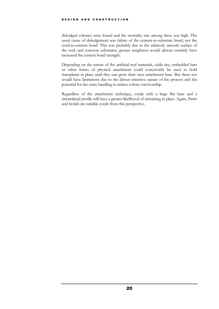dislodged colonies were found and the mortality rate among these was high. The usual cause of dislodgement was failure of the cement-to-substrate bond, not the coral-to-cement bond. This was probably due to the relatively smooth surface of the rock and concrete substrates; greater roughness would almost certainly have increased the cement bond strength.

Depending on the nature of the artificial reef materials, cable ties, embedded bars or other forms of physical attachment could conceivably be used to hold transplants in place until they can grow their own attachment base. But these too would have limitations due to the labour intensive nature of the process and the potential for the extra handling to reduce colony survivorship.

Regardless of the attachment technique, corals with a large flat base and a streamlined profile will have a greater likelihood of remaining in place. Again, *Porites* and faviids are suitable corals from this perspective.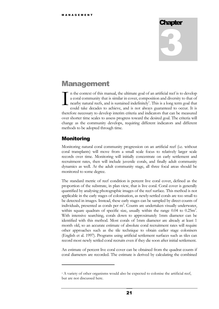# **Chapter** 3

## <span id="page-23-0"></span>**Management**

n the context of this manual, the ultimate goal of an artificial reef is to develop a coral community that is similar in cover, composition and diversity to that of nearby natural reefs, and is sustained indefinitely<sup>1</sup>. This is a long term goal that could take decades to achieve, and is not always guaranteed to occur. It is therefore necessary to develop interim criteria and indicators that can be measured over shorter time scales to assess progress toward the desired goal. The criteria will change as the community develops, requiring different indicators and different methods to be adopted through time. I

#### <span id="page-23-1"></span>Monitoring

 $\overline{a}$ 

Monitoring natural coral community progression on an artificial reef (i.e. without coral transplants) will move from a small scale focus to relatively larger scale records over time. Monitoring will initially concentrate on early settlement and recruitment rates, then will include juvenile corals, and finally adult community dynamics as well. At the adult community stage, all three focal areas should be monitored to some degree.

The standard metric of reef condition is percent live coral cover, defined as the proportion of the substrate, in plan view, that is live coral. Coral cover is generally quantified by analysing photographic images of the reef surface. This method is not applicable in the early stages of colonisation, as newly-settled corals are too small to be detected in images. Instead, these early stages can be sampled by direct counts of individuals, presented as corals per  $m^2$ . Counts are undertaken visually underwater, within square quadrats of specific size, usually within the range  $0.04$  to  $0.25$ m<sup>2</sup>. With intensive searching, corals down to approximately 1mm diameter can be identified with this method. Most corals of 1mm diameter are already at least 1 month old, so an accurate estimate of absolute coral recruitment rates will require other approaches such as the tile technique to obtain earlier stage colonisers (English et al. 1997). Programs using artificial settlement surfaces such as tiles can record most newly settled coral recruits even if they die soon after initial settlement.

An estimate of percent live coral cover can be obtained from the quadrat counts if coral diameters are recorded. The estimate is derived by calculating the combined

<sup>1</sup> A variety of other organisms would also be expected to colonise the artificial reef, but are not discussed here.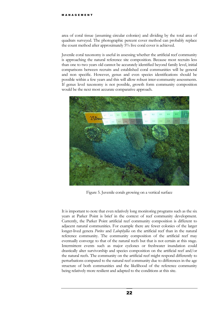area of coral tissue (assuming circular colonies) and dividing by the total area of quadrats surveyed. The photographic percent cover method can probably replace the count method after approximately 5% live coral cover is achieved.

Juvenile coral taxonomy is useful in assessing whether the artificial reef community is approaching the natural reference site composition. Because most recruits less than one to two years old cannot be accurately identified beyond family level, initial comparisons between recruits and established coral communities will be general and non specific. However, genus and even species identifications should be possible within a few years and this will allow robust inter-community assessments. If genus level taxonomy is not possible, growth form community composition would be the next most accurate comparative approach.



Figure 5. Juvenile corals growing on a vertical surface

It is important to note that even relatively long monitoring programs such as the six years at Parker Point is brief in the context of reef community development. Currently, the Parker Point artificial reef community composition is different to adjacent natural communities. For example there are fewer colonies of the larger longer-lived genera *Porites* and *Lobophyllia* on the artificial reef than in the natural reference community. The community composition of the artificial reef may eventually converge to that of the natural reefs but that is not certain at this stage. Intermittent events such as major cyclones or freshwater inundation could drastically alter survivorship and species composition on the artificial reef and/or the natural reefs. The community on the artificial reef might respond differently to perturbations compared to the natural reef community due to differences in the age structure of both communities and the likelihood of the reference community being relatively more resilient and adapted to the conditions at this site.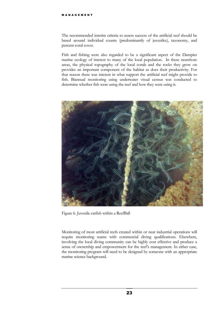The recommended interim criteria to assess success of the artificial reef should be based around individual counts (predominantly of juveniles), taxonomy, and percent coral cover.

Fish and fishing were also regarded to be a significant aspect of the Dampier marine ecology of interest to many of the local population. In these nearshore areas, the physical topography of the local corals and the rocks they grow on provides an important component of the habitat as does their productivity. For that reason there was interest in what support the artificial reef might provide to fish. Biannual monitoring using underwater visual census was conducted to determine whether fish were using the reef and how they were using it.



Figure 6. Juvenile catfish within a ReefBall

Monitoring of most artificial reefs created within or near industrial operations will require monitoring teams with commercial diving qualifications. Elsewhere, involving the local diving community can be highly cost effective and produce a sense of ownership and empowerment for the reef's management. In either case, the monitoring program will need to be designed by someone with an appropriate marine science background.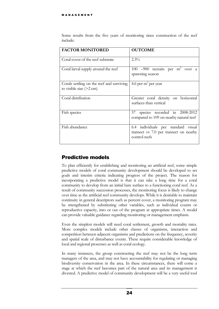| <b>FACTOR MONITORED</b>                                                        | <b>OUTCOME</b>                                                                                 |
|--------------------------------------------------------------------------------|------------------------------------------------------------------------------------------------|
| Coral cover of the reef substrate                                              | $2.3\%$                                                                                        |
| Coral larval supply around the reef                                            | 100 -900 recruits per $m^2$ over a<br>spawning season                                          |
| Corals settling on the reef and surviving<br>to visible size $(>2 \text{ cm})$ | 4.6 per $m^2$ per year                                                                         |
| Coral distribution                                                             | Greater coral density on horizontal<br>surfaces than vertical                                  |
| Fish species                                                                   | species recorded in 2008-2012<br>57<br>compared to 109 on nearby natural reef                  |
| Fish abundance                                                                 | 6.4 individuals per standard visual<br>transect vs 7.0 per transect on nearby<br>control reefs |

Some results from the five years of monitoring since construction of the reef include:

#### <span id="page-26-0"></span>Predictive models

To plan efficiently for establishing and monitoring an artificial reef, some simple predictive models of coral community development should be developed to set goals and interim criteria indicating progress of the project. The reason for incorporating a predictive model is that it can take a long time for a coral community to develop from an initial bare surface to a functioning coral reef. As a result of community succession processes, the monitoring focus is likely to change over time as the artificial reef community develops. While it is desirable to maintain continuity in general descriptors such as percent cover, a monitoring program may be strengthened by substituting other variables, such as individual counts or reproductive capacity, into or out of the program at appropriate times. A model can provide valuable guidance regarding monitoring or management emphasis.

Even the simplest models will need coral settlement, growth and mortality rates. More complex models include other classes of organisms, interaction and competition between adjacent organisms and predictions on the frequency, severity and spatial scale of disturbance events. These require considerable knowledge of local and regional processes as well as coral ecology.

In many instances, the group constructing the reef may not be the long term managers of the area, and may not have accountability for regulating or managing biodiversity conservation in the area. In these circumstances, there will come a stage at which the reef becomes part of the natural area and its management is divested. A predictive model of community development will be a very useful tool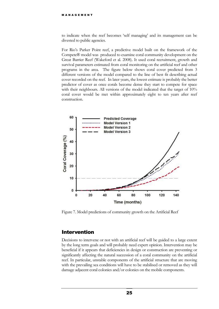to indicate when the reef becomes 'self managing' and its management can be divested to public agencies.

For Rio's Parker Point reef, a predictive model built on the framework of the Compete® model was produced to examine coral community development on the Great Barrier Reef (Wakeford et al. 2008). It used coral recruitment, growth and survival parameters estimated from coral monitoring on the artificial reef and other programs in the area. The figure below shows coral cover predicted from 3 different versions of the model compared to the line of best fit describing actual cover recorded on the reef. In later years, the lowest estimate is probably the better predictor of cover as once corals become dense they start to compete for space with their neighbours. All versions of the model indicated that the target of  $10\%$ coral cover would be met within approximately eight to ten years after reef construction.



Figure 7. Model predictions of community growth on the Artificial Reef

#### <span id="page-27-0"></span>Intervention

Decisions to intervene or not with an artificial reef will be guided to a large extent by the long term goals and will probably need expert opinion. Intervention may be beneficial if it appears that deficiencies in design or construction are preventing or significantly affecting the natural succession of a coral community on the artificial reef. In particular, unstable components of the artificial structure that are moving with the prevailing sea conditions will have to be stabilised or removed as they will damage adjacent coral colonies and/or colonies on the mobile components.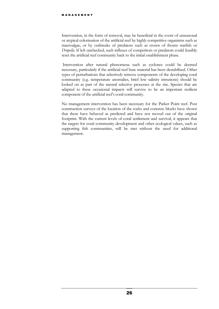Intervention, in the form of removal, may be beneficial in the event of unseasonal or atypical colonisation of the artificial reef by highly competitive organisms such as macroalgae, or by outbreaks of predators such as crown of thorns starfish or *Drupella*. If left unchecked, such influxes of competitors or predators could feasibly reset the artificial reef community back to the initial establishment phase.

Intervention after natural phenomena such as cyclones could be deemed necessary, particularly if the artificial reef base material has been destabilised. Other types of perturbations that selectively remove components of the developing coral community (e.g. temperature anomalies, brief low salinity intrusions) should be looked on as part of the natural selective processes at the site. Species that are adapted to these occasional impacts will survive to be an important resilient component of the artificial reef's coral community.

No management intervention has been necessary for the Parker Point reef. Post construction surveys of the location of the rocks and concrete blocks have shown that these have behaved as predicted and have not moved out of the original footprint. With the current levels of coral settlement and survival, it appears that the targets for coral community development and other ecological values, such as supporting fish communities, will be met without the need for additional management.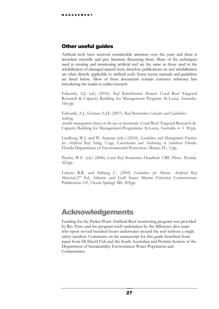#### <span id="page-29-0"></span>Other useful guides

Artificial reefs have received considerable attention over the years and there is abundant scientific and grey literature discussing them. Many of the techniques used in creating and monitoring artificial reef are the same as those used in the rehabilitation of damaged natural reefs; therefore publications on reef rehabilitation are often directly applicable to artificial reefs. Some recent manuals and guidelines are listed below. Most of these documents contain extensive reference lists introducing the reader to earlier research.

Edwards, A.J. (ed.) (2010). *Reef Rehabilitation Manual*. Coral Reef Targeted Research & Capacity Building for Management Program: St Lucia, Australia. 166 pp.

Edwards, A.J., Gomez, E.D. (2007). *Reef Restoration Concepts and Guidelines: making sensible management choices in the face of uncertainty*. Coral Reef Targeted Research & Capacity Building for Management Programme: St Lucia, Australia. iv + 38 pp.

Lindberg, W.J. and W. Seaman (eds.) (2010). *Guidelines and Management Practices for Artificial Reef Siting, Usage, Construction and Anchoring in Southeast Florida*. Florida Department of Environmental Protection. Miami, FL. 3 pp.

Precht, W.F. (ed.) (2006) *Coral Reef Restoration Handbook*. CRC Press. Florida. 363pp.

Lukens R.R. and Selberg C. (2005) *Guidelines for Marine Artificial Reef*  Materials.2<sup>nd</sup> Ed, Atlantic and Gulf States Marine Fisheries Commissions Publication 121, Ocean Springs MS. 205pp.

# Acknowledgements

Funding for the Parker Point Artificial Reef monitoring program was provided by Rio Tinto and the program itself undertaken by the MScience dive team who spent several hundred hours underwater around the reef without a single safety incident. Comments on the manuscript for this guide benefited from input from Dr David Fisk and the South Australian and Permits Section of the Department of Sustainability Environment Water Population and Communities.